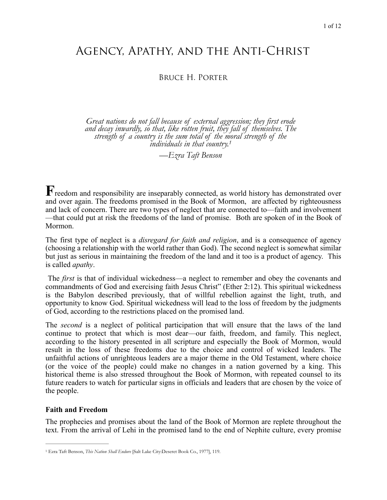# Agency, Apathy, and the Anti-Christ

## Bruce H. Porter

*Great nations do not fall because of external aggression; they first erode and decay inwardly, so that, like rotten fruit, they fall of themselves. The strength of a country is the sum total of the [mo](#page-0-0)ral strength of the individuals in that country[.1](#page-0-0)*

<span id="page-0-1"></span>*—Ezra Taft Benson* 

Freedom and responsibility are inseparably connected, as world history has demonstrated over and over again. The freedoms promised in the Book of Mormon, are affected by righteousness and lack of concern. There are two types of neglect that are connected to—faith and involvement —that could put at risk the freedoms of the land of promise. Both are spoken of in the Book of Mormon.

The first type of neglect is a *disregard for faith and religion*, and is a consequence of agency (choosing a relationship with the world rather than God). The second neglect is somewhat similar but just as serious in maintaining the freedom of the land and it too is a product of agency. This is called *apathy*.

 The *first* is that of individual wickedness—a neglect to remember and obey the covenants and commandments of God and exercising faith Jesus Christ" (Ether 2:12). This spiritual wickedness is the Babylon described previously, that of willful rebellion against the light, truth, and opportunity to know God. Spiritual wickedness will lead to the loss of freedom by the judgments of God, according to the restrictions placed on the promised land.

The *second* is a neglect of political participation that will ensure that the laws of the land continue to protect that which is most dear—our faith, freedom, and family. This neglect, according to the history presented in all scripture and especially the Book of Mormon, would result in the loss of these freedoms due to the choice and control of wicked leaders. The unfaithful actions of unrighteous leaders are a major theme in the Old Testament, where choice (or the voice of the people) could make no changes in a nation governed by a king. This historical theme is also stressed throughout the Book of Mormon, with repeated counsel to its future readers to watch for particular signs in officials and leaders that are chosen by the voice of the people.

#### **Faith and Freedom**

The prophecies and promises about the land of the Book of Mormon are replete throughout the text. From the arrival of Lehi in the promised land to the end of Nephite culture, every promise

<span id="page-0-0"></span><sup>&</sup>lt;sup>[1](#page-0-1)</sup> Ezra Taft Benson, *This Nation Shall Endure* [Salt Lake City: Deseret Book Co., 1977], 119.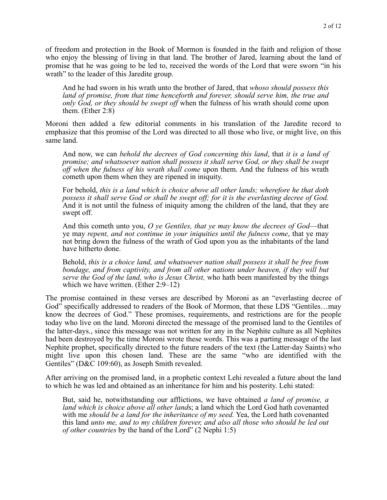of freedom and protection in the Book of Mormon is founded in the faith and religion of those who enjoy the blessing of living in that land. The brother of Jared, learning about the land of promise that he was going to be led to, received the words of the Lord that were sworn "in his wrath" to the leader of this Jaredite group.

And he had sworn in his wrath unto the brother of Jared, that *whoso should possess this land of promise, from that time henceforth and forever, should serve him, the true and only God, or they should be swept off* when the fulness of his wrath should come upon them. (Ether 2:8)

Moroni then added a few editorial comments in his translation of the Jaredite record to emphasize that this promise of the Lord was directed to all those who live, or might live, on this same land.

And now, we can *behold the decrees of God concerning this land*, that *it is a land of promise; and whatsoever nation shall possess it shall serve God, or they shall be swept off when the fulness of his wrath shall come* upon them. And the fulness of his wrath cometh upon them when they are ripened in iniquity.

For behold, *this is a land which is choice above all other lands; wherefore he that doth possess it shall serve God or shall be swept off; for it is the everlasting decree of God.* And it is not until the fulness of iniquity among the children of the land, that they are swept off.

And this cometh unto you, *O ye Gentiles, that ye may know the decrees of God*—that ye may *repent, and not continue in your iniquities until the fulness come*, that ye may not bring down the fulness of the wrath of God upon you as the inhabitants of the land have hitherto done.

Behold, *this is a choice land, and whatsoever nation shall possess it shall be free from bondage, and from captivity, and from all other nations under heaven, if they will but serve the God of the land, who is Jesus Christ,* who hath been manifested by the things which we have written. (Ether 2:9–12)

The promise contained in these verses are described by Moroni as an "everlasting decree of God" specifically addressed to readers of the Book of Mormon, that these LDS "Gentiles…may know the decrees of God." These promises, requirements, and restrictions are for the people today who live on the land. Moroni directed the message of the promised land to the Gentiles of the latter-days., since this message was not written for any in the Nephite culture as all Nephites had been destroyed by the time Moroni wrote these words. This was a parting message of the last Nephite prophet, specifically directed to the future readers of the text (the Latter-day Saints) who might live upon this chosen land. These are the same "who are identified with the Gentiles" (D&C 109:60), as Joseph Smith revealed.

After arriving on the promised land, in a prophetic context Lehi revealed a future about the land to which he was led and obtained as an inheritance for him and his posterity. Lehi stated:

But, said he, notwithstanding our afflictions, we have obtained *a land of promise, a land which is choice above all other land*s; a land which the Lord God hath covenanted with me *should be a land for the inheritance of my seed.* Yea, the Lord hath covenanted this land *unto me, and to my children forever, and also all those who should be led out of other countries* by the hand of the Lord" (2 Nephi 1:5)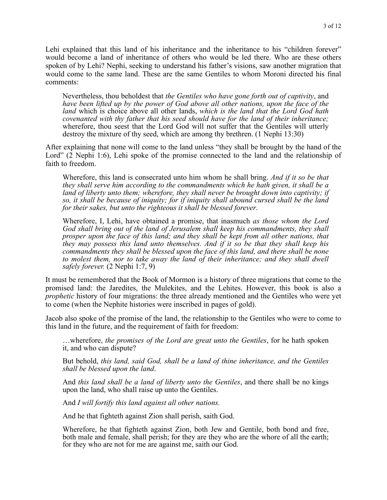Lehi explained that this land of his inheritance and the inheritance to his "children forever" would become a land of inheritance of others who would be led there. Who are these others spoken of by Lehi? Nephi, seeking to understand his father's visions, saw another migration that would come to the same land. These are the same Gentiles to whom Moroni directed his final comments:

Nevertheless, thou beholdest that *the Gentiles who have gone forth out of captivity*, and *have been lifted up by the power of God above all other nations, upon the face of the land* which is choice above all other lands, *which is the land that the Lord God hath covenanted with thy father that his seed should have for the land of their inheritance;* wherefore, thou seest that the Lord God will not suffer that the Gentiles will utterly destroy the mixture of thy seed, which are among thy brethren. (1 Nephi 13:30)

After explaining that none will come to the land unless "they shall be brought by the hand of the Lord" (2 Nephi 1:6), Lehi spoke of the promise connected to the land and the relationship of faith to freedom.

Wherefore, this land is consecrated unto him whom he shall bring. *And if it so be that they shall serve him according to the commandments which he hath given, it shall be a land of liberty unto them; wherefore, they shall never be brought down into captivity; if so, it shall be because of iniquity; for if iniquity shall abound cursed shall be the land for their sakes, but unto the righteous it shall be blessed forever*.

Wherefore, I, Lehi, have obtained a promise, that inasmuch *as those whom the Lord God shall bring out of the land of Jerusalem shall keep his commandments, they shall prosper upon the face of this land; and they shall be kept from all other nations, that they may possess this land unto themselves. And if it so be that they shall keep his commandments they shall be blessed upon the face of this land, and there shall be none*  to molest them, nor to take away the land of their inheritance; and they shall dwell *safely forever.* (2 Nephi 1:7, 9)

It must be remembered that the Book of Mormon is a history of three migrations that come to the promised land: the Jaredites, the Mulekites, and the Lehites. However, this book is also a *prophetic* history of four migrations: the three already mentioned and the Gentiles who were yet to come (when the Nephite histories were inscribed in pages of gold).

Jacob also spoke of the promise of the land, the relationship to the Gentiles who were to come to this land in the future, and the requirement of faith for freedom:

…wherefore, *the promises of the Lord are great unto the Gentiles*, for he hath spoken it, and who can dispute?

But behold, *this land, said God, shall be a land of thine inheritance, and the Gentiles shall be blessed upon the land*.

And *this land shall be a land of liberty unto the Gentiles*, and there shall be no kings upon the land, who shall raise up unto the Gentiles.

And *I will fortify this land against all other nations.* 

And he that fighteth against Zion shall perish, saith God.

Wherefore, he that fighteth against Zion, both Jew and Gentile, both bond and free, both male and female, shall perish; for they are they who are the whore of all the earth; for they who are not for me are against me, saith our God.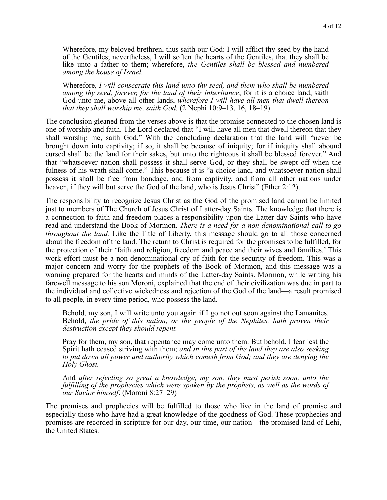Wherefore, my beloved brethren, thus saith our God: I will afflict thy seed by the hand of the Gentiles; nevertheless, I will soften the hearts of the Gentiles, that they shall be like unto a father to them; wherefore, *the Gentiles shall be blessed and numbered among the house of Israel.* 

Wherefore, *I will consecrate this land unto thy seed, and them who shall be numbered among thy seed, forever, for the land of their inheritance*; for it is a choice land, saith God unto me, above all other lands, *wherefore I will have all men that dwell thereon that they shall worship me, saith God.* (2 Nephi 10:9–13, 16, 18–19)

The conclusion gleaned from the verses above is that the promise connected to the chosen land is one of worship and faith. The Lord declared that "I will have all men that dwell thereon that they shall worship me, saith God." With the concluding declaration that the land will "never be brought down into captivity; if so, it shall be because of iniquity; for if iniquity shall abound cursed shall be the land for their sakes, but unto the righteous it shall be blessed forever." And that "whatsoever nation shall possess it shall serve God, or they shall be swept off when the fulness of his wrath shall come." This because it is "a choice land, and whatsoever nation shall possess it shall be free from bondage, and from captivity, and from all other nations under heaven, if they will but serve the God of the land, who is Jesus Christ" (Ether 2:12).

The responsibility to recognize Jesus Christ as the God of the promised land cannot be limited just to members of The Church of Jesus Christ of Latter-day Saints. The knowledge that there is a connection to faith and freedom places a responsibility upon the Latter-day Saints who have read and understand the Book of Mormon. *There is a need for a non-denominational call to go throughout the land.* Like the Title of Liberty, this message should go to all those concerned about the freedom of the land. The return to Christ is required for the promises to be fulfilled, for the protection of their 'faith and religion, freedom and peace and their wives and families.' This work effort must be a non-denominational cry of faith for the security of freedom. This was a major concern and worry for the prophets of the Book of Mormon, and this message was a warning prepared for the hearts and minds of the Latter-day Saints. Mormon, while writing his farewell message to his son Moroni, explained that the end of their civilization was due in part to the individual and collective wickedness and rejection of the God of the land—a result promised to all people, in every time period, who possess the land.

Behold, my son, I will write unto you again if I go not out soon against the Lamanites. Behold, *the pride of this nation, or the people of the Nephites, hath proven their destruction except they should repent.* 

Pray for them, my son, that repentance may come unto them. But behold, I fear lest the Spirit hath ceased striving with them; *and in this part of the land they are also seeking to put down all power and authority which cometh from God; and they are denying the Holy Ghost.* 

And *after rejecting so great a knowledge, my son, they must perish soon, unto the*  fulfilling of the prophecies which were spoken by the prophets, as well as the words of *our Savior himself*. (Moroni 8:27–29)

The promises and prophecies will be fulfilled to those who live in the land of promise and especially those who have had a great knowledge of the goodness of God. These prophecies and promises are recorded in scripture for our day, our time, our nation—the promised land of Lehi, the United States.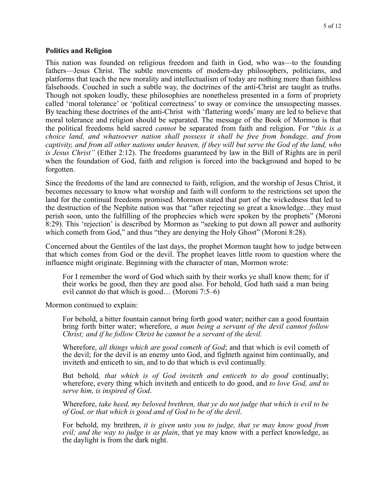#### **Politics and Religion**

This nation was founded on religious freedom and faith in God, who was—to the founding fathers—Jesus Christ. The subtle movements of modern-day philosophers, politicians, and platforms that teach the new morality and intellectualism of today are nothing more than faithless falsehoods. Couched in such a subtle way, the doctrines of the anti-Christ are taught as truths. Though not spoken loudly, these philosophies are nonetheless presented in a form of propriety called 'moral tolerance' or 'political correctness' to sway or convince the unsuspecting masses. By teaching these doctrines of the anti-Christ with 'flattering words' many are led to believe that moral tolerance and religion should be separated. The message of the Book of Mormon is that the political freedoms held sacred *cannot* be separated from faith and religion. For "*this is a choice land, and whatsoever nation shall possess it shall be free from bondage, and from captivity, and from all other nations under heaven, if they will but serve the God of the land, who is Jesus Christ"* (Ether 2:12). The freedoms guaranteed by law in the Bill of Rights are in peril when the foundation of God, faith and religion is forced into the background and hoped to be forgotten.

Since the freedoms of the land are connected to faith, religion, and the worship of Jesus Christ, it becomes necessary to know what worship and faith will conform to the restrictions set upon the land for the continual freedoms promised. Mormon stated that part of the wickedness that led to the destruction of the Nephite nation was that "after rejecting so great a knowledge…they must perish soon, unto the fulfilling of the prophecies which were spoken by the prophets" (Moroni 8:29). This 'rejection' is described by Mormon as "seeking to put down all power and authority which cometh from God," and thus "they are denying the Holy Ghost" (Moroni 8:28).

Concerned about the Gentiles of the last days, the prophet Mormon taught how to judge between that which comes from God or the devil. The prophet leaves little room to question where the influence might originate. Beginning with the character of man, Mormon wrote:

For I remember the word of God which saith by their works ye shall know them; for if their works be good, then they are good also. For behold, God hath said a man being evil cannot do that which is good… (Moroni 7:5–6)

Mormon continued to explain:

For behold, a bitter fountain cannot bring forth good water; neither can a good fountain bring forth bitter water; wherefore, *a man being a servant of the devil cannot follow Christ; and if he follow Christ he cannot be a servant of the devil.* 

Wherefore, *all things which are good cometh of God*; and that which is evil cometh of the devil; for the devil is an enemy unto God, and fighteth against him continually, and inviteth and enticeth to sin, and to do that which is evil continually.

But behold*, that which is of God inviteth and enticeth to do good* continually; wherefore, every thing which inviteth and enticeth to do good, and *to love God, and to serve him, is inspired of God*.

Wherefore, *take heed, my beloved brethren, that ye do not judge that which is evil to be of God, or that which is good and of God to be of the devil*.

For behold, my brethren, *it is given unto you to judge, that ye may know good from evil; and the way to judge is as plain*, that ye may know with a perfect knowledge, as the daylight is from the dark night.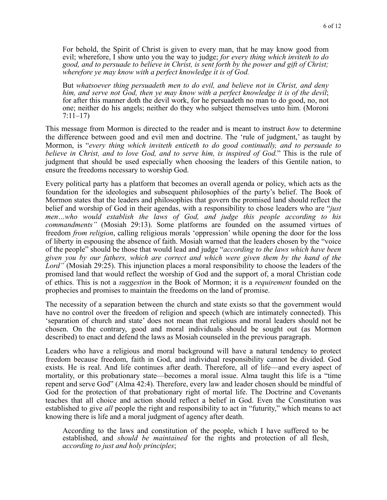For behold, the Spirit of Christ is given to every man, that he may know good from evil; wherefore, I show unto you the way to judge; *for every thing which inviteth to do good, and to persuade to believe in Christ, is sent forth by the power and gift of Christ; wherefore ye may know with a perfect knowledge it is of God.* 

But *whatsoever thing persuadeth men to do evil, and believe not in Christ, and deny him, and serve not God, then ye may know with a perfect knowledge it is of the devil*; for after this manner doth the devil work, for he persuadeth no man to do good, no, not one; neither do his angels; neither do they who subject themselves unto him. (Moroni 7:11–17)

This message from Mormon is directed to the reader and is meant to instruct *how* to determine the difference between good and evil men and doctrine. The 'rule of judgment,' as taught by Mormon, is "*every thing which inviteth enticeth to do good continually, and to persuade to believe in Christ, and to love God, and to serve him, is inspired of God.*" This is the rule of judgment that should be used especially when choosing the leaders of this Gentile nation, to ensure the freedoms necessary to worship God.

Every political party has a platform that becomes an overall agenda or policy, which acts as the foundation for the ideologies and subsequent philosophies of the party's belief. The Book of Mormon states that the leaders and philosophies that govern the promised land should reflect the belief and worship of God in their agendas, with a responsibility to chose leaders who are "*just men…who would establish the laws of God, and judge this people according to his commandments"* (Mosiah 29:13). Some platforms are founded on the assumed virtues of freedom *from religion*, calling religious morals 'oppression' while opening the door for the loss of liberty in espousing the absence of faith. Mosiah warned that the leaders chosen by the "voice of the people" should be those that would lead and judge "*according to the laws which have been given you by our fathers, which are correct and which were given them by the hand of the*  Lord" (Mosiah 29:25). This injunction places a moral responsibility to choose the leaders of the promised land that would reflect the worship of God and the support of, a moral Christian code of ethics. This is not a *suggestion* in the Book of Mormon; it is a *requirement* founded on the prophecies and promises to maintain the freedoms on the land of promise.

The necessity of a separation between the church and state exists so that the government would have no control over the freedom of religion and speech (which are intimately connected). This 'separation of church and state' does not mean that religious and moral leaders should not be chosen. On the contrary, good and moral individuals should be sought out (as Mormon described) to enact and defend the laws as Mosiah counseled in the previous paragraph.

Leaders who have a religious and moral background will have a natural tendency to protect freedom because freedom, faith in God, and individual responsibility cannot be divided. God exists. He is real. And life continues after death. Therefore, all of life—and every aspect of mortality, or this probationary state—becomes a moral issue. Alma taught this life is a "time repent and serve God" (Alma 42:4). Therefore, every law and leader chosen should be mindful of God for the protection of that probationary right of mortal life. The Doctrine and Covenants teaches that all choice and action should reflect a belief in God. Even the Constitution was established to give *all* people the right and responsibility to act in "futurity," which means to act knowing there is life and a moral judgment of agency after death.

According to the laws and constitution of the people, which I have suffered to be established, and *should be maintained* for the rights and protection of all flesh, *according to just and holy principles*;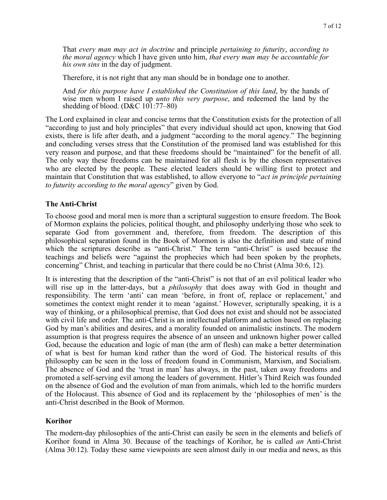That *every man may act in doctrine* and principle *pertaining to futurity*, *according to the moral agency* which I have given unto him, *that every man may be accountable for his own sins* in the day of judgment.

Therefore, it is not right that any man should be in bondage one to another.

And *for this purpose have I established the Constitution of this land*, by the hands of wise men whom I raised up *unto this very purpose*, and redeemed the land by the shedding of blood. (D&C 101:77–80)

The Lord explained in clear and concise terms that the Constitution exists for the protection of all "according to just and holy principles" that every individual should act upon, knowing that God exists, there is life after death, and a judgment "according to the moral agency." The beginning and concluding verses stress that the Constitution of the promised land was established for this very reason and purpose, and that these freedoms should be "maintained" for the benefit of all. The only way these freedoms can be maintained for all flesh is by the chosen representatives who are elected by the people. These elected leaders should be willing first to protect and maintain that Constitution that was established, to allow everyone to "*act in principle pertaining to futurity according to the moral agency*" given by God.

### **The Anti-Christ**

To choose good and moral men is more than a scriptural suggestion to ensure freedom. The Book of Mormon explains the policies, political thought, and philosophy underlying those who seek to separate God from government and, therefore, from freedom. The description of this philosophical separation found in the Book of Mormon is also the definition and state of mind which the scriptures describe as "anti-Christ." The term "anti-Christ" is used because the teachings and beliefs were "against the prophecies which had been spoken by the prophets, concerning" Christ, and teaching in particular that there could be no Christ (Alma 30:6, 12).

It is interesting that the description of the "anti-Christ" is not that of an evil political leader who will rise up in the latter-days, but a *philosophy* that does away with God in thought and responsiibility. The term 'anti' can mean 'before, in front of, replace or replacement,' and sometimes the context might render it to mean 'against.' However, scripturally speaking, it is a way of thinking, or a philosophical premise, that God does not exist and should not be associated with civil life and order. The anti-Christ is an intellectual platform and action based on replacing God by man's abilities and desires, and a morality founded on animalistic instincts. The modern assumption is that progress requires the absence of an unseen and unknown higher power called God, because the education and logic of man (the arm of flesh) can make a better determination of what is best for human kind rather than the word of God. The historical results of this philosophy can be seen in the loss of freedom found in Communism, Marxism, and Socialism. The absence of God and the 'trust in man' has always, in the past, taken away freedoms and promoted a self-serving evil among the leaders of government. Hitler's Third Reich was founded on the absence of God and the evolution of man from animals, which led to the horrific murders of the Holocaust. This absence of God and its replacement by the 'philosophies of men' is the anti-Christ described in the Book of Mormon.

#### **Korihor**

The modern-day philosophies of the anti-Christ can easily be seen in the elements and beliefs of Korihor found in Alma 30. Because of the teachings of Korihor, he is called *an* Anti-Christ (Alma 30:12). Today these same viewpoints are seen almost daily in our media and news, as this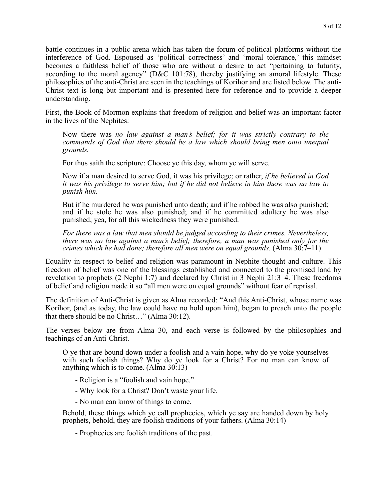battle continues in a public arena which has taken the forum of political platforms without the interference of God. Espoused as 'political correctness' and 'moral tolerance,' this mindset becomes a faithless belief of those who are without a desire to act "pertaining to futurity, according to the moral agency" (D&C 101:78), thereby justifying an amoral lifestyle. These philosophies of the anti-Christ are seen in the teachings of Korihor and are listed below. The anti-Christ text is long but important and is presented here for reference and to provide a deeper understanding.

First, the Book of Mormon explains that freedom of religion and belief was an important factor in the lives of the Nephites:

Now there was *no law against a man's belief; for it was strictly contrary to the commands of God that there should be a law which should bring men onto unequal grounds.* 

For thus saith the scripture: Choose ye this day, whom ye will serve.

Now if a man desired to serve God, it was his privilege; or rather, *if he believed in God it was his privilege to serve him; but if he did not believe in him there was no law to punish him.* 

But if he murdered he was punished unto death; and if he robbed he was also punished; and if he stole he was also punished; and if he committed adultery he was also punished; yea, for all this wickedness they were punished.

*For there was a law that men should be judged according to their crimes. Nevertheless, there was no law against a man's belief; therefore, a man was punished only for the crimes which he had done; therefore all men were on equal grounds.* (Alma 30:7–11)

Equality in respect to belief and religion was paramount in Nephite thought and culture. This freedom of belief was one of the blessings established and connected to the promised land by revelation to prophets (2 Nephi 1:7) and declared by Christ in 3 Nephi 21:3–4. These freedoms of belief and religion made it so "all men were on equal grounds" without fear of reprisal.

The definition of Anti-Christ is given as Alma recorded: "And this Anti-Christ, whose name was Korihor, (and as today, the law could have no hold upon him), began to preach unto the people that there should be no Christ…" (Alma 30:12).

The verses below are from Alma 30, and each verse is followed by the philosophies and teachings of an Anti-Christ.

O ye that are bound down under a foolish and a vain hope, why do ye yoke yourselves with such foolish things? Why do ye look for a Christ? For no man can know of anything which is to come. (Alma 30:13)

- Religion is a "foolish and vain hope."

- Why look for a Christ? Don't waste your life.

- No man can know of things to come.

Behold, these things which ye call prophecies, which ye say are handed down by holy prophets, behold, they are foolish traditions of your fathers. (Alma 30:14)

- Prophecies are foolish traditions of the past.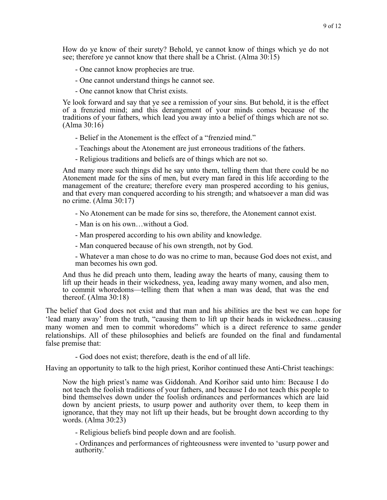How do ye know of their surety? Behold, ye cannot know of things which ye do not see; therefore ye cannot know that there shall be a Christ. (Alma 30:15)

- One cannot know prophecies are true.
- One cannot understand things he cannot see.
- One cannot know that Christ exists.

Ye look forward and say that ye see a remission of your sins. But behold, it is the effect of a frenzied mind; and this derangement of your minds comes because of the traditions of your fathers, which lead you away into a belief of things which are not so. (Alma 30:16)

- Belief in the Atonement is the effect of a "frenzied mind."
- Teachings about the Atonement are just erroneous traditions of the fathers.
- Religious traditions and beliefs are of things which are not so.

And many more such things did he say unto them, telling them that there could be no Atonement made for the sins of men, but every man fared in this life according to the management of the creature; therefore every man prospered according to his genius, and that every man conquered according to his strength; and whatsoever a man did was no crime. (Alma 30:17)

- No Atonement can be made for sins so, therefore, the Atonement cannot exist.
- Man is on his own…without a God.
- Man prospered according to his own ability and knowledge.
- Man conquered because of his own strength, not by God.

- Whatever a man chose to do was no crime to man, because God does not exist, and man becomes his own god.

And thus he did preach unto them, leading away the hearts of many, causing them to lift up their heads in their wickedness, yea, leading away many women, and also men, to commit whoredoms—telling them that when a man was dead, that was the end thereof. (Alma 30:18)

The belief that God does not exist and that man and his abilities are the best we can hope for 'lead many away' from the truth, "causing them to lift up their heads in wickedness…causing many women and men to commit whoredoms" which is a direct reference to same gender relationships. All of these philosophies and beliefs are founded on the final and fundamental false premise that:

- God does not exist; therefore, death is the end of all life.

Having an opportunity to talk to the high priest, Korihor continued these Anti-Christ teachings:

Now the high priest's name was Giddonah. And Korihor said unto him: Because I do not teach the foolish traditions of your fathers, and because I do not teach this people to bind themselves down under the foolish ordinances and performances which are laid down by ancient priests, to usurp power and authority over them, to keep them in ignorance, that they may not lift up their heads, but be brought down according to thy words. (Alma 30:23)

- Religious beliefs bind people down and are foolish.

- Ordinances and performances of righteousness were invented to 'usurp power and authority.'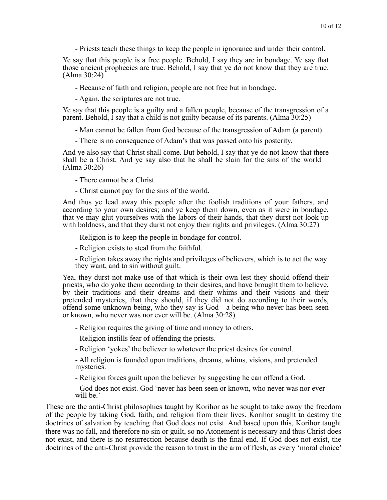- Priests teach these things to keep the people in ignorance and under their control.

Ye say that this people is a free people. Behold, I say they are in bondage. Ye say that those ancient prophecies are true. Behold, I say that ye do not know that they are true. (Alma 30:24)

- Because of faith and religion, people are not free but in bondage.

- Again, the scriptures are not true.

Ye say that this people is a guilty and a fallen people, because of the transgression of a parent. Behold, I say that a child is not guilty because of its parents. (Alma 30:25)

- Man cannot be fallen from God because of the transgression of Adam (a parent).

- There is no consequence of Adam's that was passed onto his posterity.

And ye also say that Christ shall come. But behold, I say that ye do not know that there shall be a Christ. And ye say also that he shall be slain for the sins of the world— (Alma 30:26)

- There cannot be a Christ.
- Christ cannot pay for the sins of the world.

And thus ye lead away this people after the foolish traditions of your fathers, and according to your own desires; and ye keep them down, even as it were in bondage, that ye may glut yourselves with the labors of their hands, that they durst not look up with boldness, and that they durst not enjoy their rights and privileges. (Alma 30:27)

- Religion is to keep the people in bondage for control.

- Religion exists to steal from the faithful.

- Religion takes away the rights and privileges of believers, which is to act the way they want, and to sin without guilt.

Yea, they durst not make use of that which is their own lest they should offend their priests, who do yoke them according to their desires, and have brought them to believe, by their traditions and their dreams and their whims and their visions and their pretended mysteries, that they should, if they did not do according to their words, offend some unknown being, who they say is God—a being who never has been seen or known, who never was nor ever will be. (Alma 30:28)

- Religion requires the giving of time and money to others.

- Religion instills fear of offending the priests.

- Religion 'yokes' the believer to whatever the priest desires for control.

- All religion is founded upon traditions, dreams, whims, visions, and pretended mysteries.

- Religion forces guilt upon the believer by suggesting he can offend a God.

- God does not exist. God 'never has been seen or known, who never was nor ever will be.'

These are the anti-Christ philosophies taught by Korihor as he sought to take away the freedom of the people by taking God, faith, and religion from their lives. Korihor sought to destroy the doctrines of salvation by teaching that God does not exist. And based upon this, Korihor taught there was no fall, and therefore no sin or guilt, so no Atonement is necessary and thus Christ does not exist, and there is no resurrection because death is the final end. If God does not exist, the doctrines of the anti-Christ provide the reason to trust in the arm of flesh, as every 'moral choice'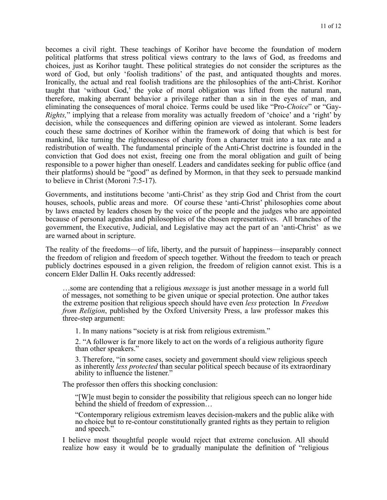becomes a civil right. These teachings of Korihor have become the foundation of modern political platforms that stress political views contrary to the laws of God, as freedoms and choices, just as Korihor taught. These political strategies do not consider the scriptures as the word of God, but only 'foolish traditions' of the past, and antiquated thoughts and mores. Ironically, the actual and real foolish traditions are the philosophies of the anti-Christ. Korihor taught that 'without God,' the yoke of moral obligation was lifted from the natural man, therefore, making aberrant behavior a privilege rather than a sin in the eyes of man, and eliminating the consequences of moral choice. Terms could be used like "Pro-*Choice*" or "Gay-*Rights,*" implying that a release from morality was actually freedom of 'choice' and a 'right' by decision, while the consequences and differing opinion are viewed as intolerant. Some leaders couch these same doctrines of Korihor within the framework of doing that which is best for mankind, like turning the righteousness of charity from a character trait into a tax rate and a redistribution of wealth. The fundamental principle of the Anti-Christ doctrine is founded in the conviction that God does not exist, freeing one from the moral obligation and guilt of being responsible to a power higher than oneself. Leaders and candidates seeking for public office (and their platforms) should be "good" as defined by Mormon, in that they seek to persuade mankind to believe in Christ (Moroni 7:5-17).

Governments, and institutions become 'anti-Christ' as they strip God and Christ from the court houses, schools, public areas and more. Of course these 'anti-Christ' philosophies come about by laws enacted by leaders chosen by the voice of the people and the judges who are appointed because of personal agendas and philosophies of the chosen representatives. All branches of the government, the Executive, Judicial, and Legislative may act the part of an 'anti-Christ' as we are warned about in scripture.

The reality of the freedoms—of life, liberty, and the pursuit of happiness—inseparably connect the freedom of religion and freedom of speech together. Without the freedom to teach or preach publicly doctrines espoused in a given religion, the freedom of religion cannot exist. This is a concern Elder Dallin H. Oaks recently addressed:

…some are contending that a religious *message* is just another message in a world full of messages, not something to be given unique or special protection. One author takes the extreme position that religious speech should have even *less* protection In *Freedom from Religion*, published by the Oxford University Press, a law professor makes this three-step argument:

1. In many nations "society is at risk from religious extremism."

2. "A follower is far more likely to act on the words of a religious authority figure than other speakers."

3. Therefore, "in some cases, society and government should view religious speech as inherently *less protected* than secular political speech because of its extraordinary ability to influence the listener."

The professor then offers this shocking conclusion:

"[W]e must begin to consider the possibility that religious speech can no longer hide behind the shield of freedom of expression…

"Contemporary religious extremism leaves decision-makers and the public alike with no choice but to re-contour constitutionally granted rights as they pertain to religion and speech."

I believe most thoughtful people would reject that extreme conclusion. All should realize how easy it would be to gradually manipulate the definition of "religious